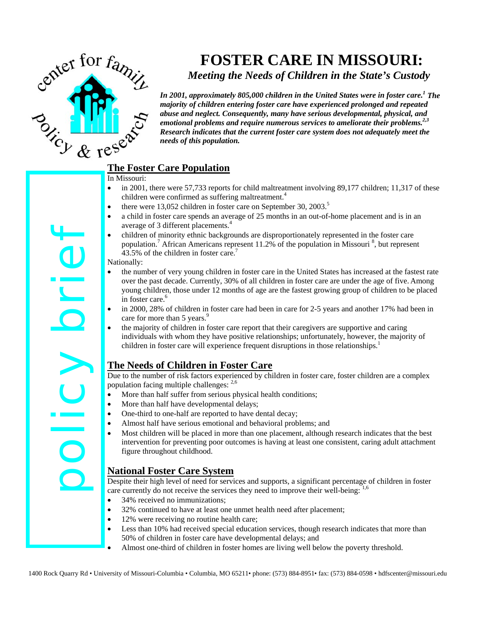

# **FOSTER CARE IN MISSOURI:**

*Meeting the Needs of Children in the State's Custody* 

*In 2001, approximately 805,000 children in the United States were in foster care.1 The majority of children entering foster care have experienced prolonged and repeated abuse and neglect. Consequently, many have serious developmental, physical, and emotional problems and require numerous services to ameliorate their problems.2,3 Research indicates that the current foster care system does not adequately meet the needs of this population.*

- In Missouri:
- in 2001, there were 57,733 reports for child maltreatment involving 89,177 children; 11,317 of these children were confirmed as suffering maltreatment.<sup>4</sup>
- there were 13,052 children in foster care on September 30, 2003.<sup>5</sup>
- a child in foster care spends an average of 25 months in an out-of-home placement and is in an average of 3 different placements.<sup>4</sup>
- children of minority ethnic backgrounds are disproportionately represented in the foster care population.<sup>7</sup> African Americans represent 11.2% of the population in Missouri<sup>8</sup>, but represent 43.5% of the children in foster care.<sup>7</sup>

#### Nationally:

- the number of very young children in foster care in the United States has increased at the fastest rate over the past decade. Currently, 30% of all children in foster care are under the age of five. Among young children, those under 12 months of age are the fastest growing group of children to be placed in foster care.<sup>6</sup>
- in 2000, 28% of children in foster care had been in care for 2-5 years and another 17% had been in care for more than 5 years.<sup>9</sup>
- the majority of children in foster care report that their caregivers are supportive and caring individuals with whom they have positive relationships; unfortunately, however, the majority of children in foster care will experience frequent disruptions in those relationships.<sup>1</sup>

# **The Needs of Children in Foster Care**

Due to the number of risk factors experienced by children in foster care, foster children are a complex population facing multiple challenges: 2,6

- More than half suffer from serious physical health conditions;
- More than half have developmental delays;
- One-third to one-half are reported to have dental decay;
- Almost half have serious emotional and behavioral problems; and
- Most children will be placed in more than one placement, although research indicates that the best intervention for preventing poor outcomes is having at least one consistent, caring adult attachment figure throughout childhood.

# **National Foster Care System**

Despite their high level of need for services and supports, a significant percentage of children in foster care currently do not receive the services they need to improve their well-being: 1,6

- 34% received no immunizations;
- 32% continued to have at least one unmet health need after placement;
- 12% were receiving no routine health care;
	- Less than 10% had received special education services, though research indicates that more than 50% of children in foster care have developmental delays; and
	- Almost one-third of children in foster homes are living well below the poverty threshold.

1400 Rock Columbia 160 Rock Quarry Research and the material in the offer care of Missouri-Columbia, MO 66211• phone Columbia + Columbia, MO 65211• and the material and the material of Missouri-Columbia, MO 65211• (128 and